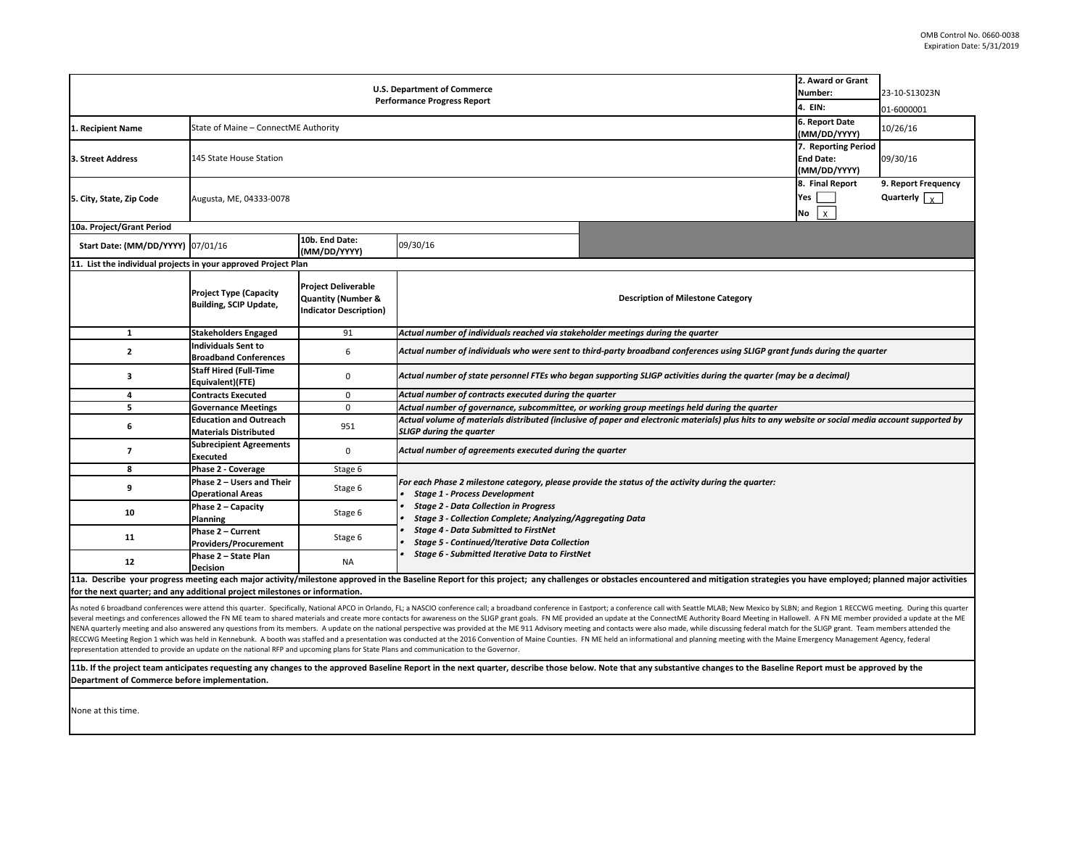| 2. Award or Grant<br><b>U.S. Department of Commerce</b><br>Number:<br><b>Performance Progress Report</b><br>4. EIN: |                                                               |                                                                                              |                                                                                                                                                                                       |                                                                                                    |                                      | 23-10-S13023N<br>01-6000001                 |  |  |
|---------------------------------------------------------------------------------------------------------------------|---------------------------------------------------------------|----------------------------------------------------------------------------------------------|---------------------------------------------------------------------------------------------------------------------------------------------------------------------------------------|----------------------------------------------------------------------------------------------------|--------------------------------------|---------------------------------------------|--|--|
| 1. Recipient Name                                                                                                   | 6. Report Date<br>State of Maine - ConnectME Authority        |                                                                                              |                                                                                                                                                                                       |                                                                                                    |                                      | 10/26/16                                    |  |  |
| 3. Street Address                                                                                                   | <b>End Date:</b><br>145 State House Station<br>(MM/DD/YYYY)   |                                                                                              |                                                                                                                                                                                       |                                                                                                    |                                      | 7. Reporting Period<br>09/30/16             |  |  |
| 5. City, State, Zip Code                                                                                            | Augusta, ME, 04333-0078                                       |                                                                                              |                                                                                                                                                                                       |                                                                                                    | 8. Final Report<br>Yes  <br>$No$ $x$ | 9. Report Frequency<br>Quarterly $\sqrt{v}$ |  |  |
| 10a. Project/Grant Period                                                                                           |                                                               |                                                                                              |                                                                                                                                                                                       |                                                                                                    |                                      |                                             |  |  |
| Start Date: (MM/DD/YYYY) 07/01/16                                                                                   |                                                               | 10b. End Date:<br>(MM/DD/YYYY)                                                               | 09/30/16                                                                                                                                                                              |                                                                                                    |                                      |                                             |  |  |
| 11. List the individual projects in your approved Project Plan                                                      |                                                               |                                                                                              |                                                                                                                                                                                       |                                                                                                    |                                      |                                             |  |  |
|                                                                                                                     | <b>Project Type (Capacity</b><br>Building, SCIP Update,       | <b>Project Deliverable</b><br><b>Quantity (Number &amp;</b><br><b>Indicator Description)</b> | <b>Description of Milestone Category</b>                                                                                                                                              |                                                                                                    |                                      |                                             |  |  |
| $\mathbf{1}$                                                                                                        | <b>Stakeholders Engaged</b>                                   | 91                                                                                           | Actual number of individuals reached via stakeholder meetings during the quarter                                                                                                      |                                                                                                    |                                      |                                             |  |  |
| $\mathbf{2}$                                                                                                        | <b>Individuals Sent to</b><br><b>Broadband Conferences</b>    | 6                                                                                            | Actual number of individuals who were sent to third-party broadband conferences using SLIGP grant funds during the quarter                                                            |                                                                                                    |                                      |                                             |  |  |
| з                                                                                                                   | <b>Staff Hired (Full-Time</b><br>Equivalent)(FTE)             | $\mathbf 0$                                                                                  | Actual number of state personnel FTEs who began supporting SLIGP activities during the quarter (may be a decimal)                                                                     |                                                                                                    |                                      |                                             |  |  |
| 4                                                                                                                   | <b>Contracts Executed</b>                                     | $\mathbf 0$                                                                                  | Actual number of contracts executed during the quarter                                                                                                                                |                                                                                                    |                                      |                                             |  |  |
| 5                                                                                                                   | <b>Governance Meetings</b>                                    | $\mathbf 0$                                                                                  | Actual number of governance, subcommittee, or working group meetings held during the quarter                                                                                          |                                                                                                    |                                      |                                             |  |  |
| 6                                                                                                                   | <b>Education and Outreach</b><br><b>Materials Distributed</b> | 951                                                                                          | Actual volume of materials distributed (inclusive of paper and electronic materials) plus hits to any website or social media account supported by<br><b>SLIGP during the quarter</b> |                                                                                                    |                                      |                                             |  |  |
| $\overline{7}$                                                                                                      | <b>Subrecipient Agreements</b><br><b>Executed</b>             | $\mathbf 0$                                                                                  | Actual number of agreements executed during the quarter                                                                                                                               |                                                                                                    |                                      |                                             |  |  |
| 8                                                                                                                   | Phase 2 - Coverage                                            | Stage 6                                                                                      |                                                                                                                                                                                       |                                                                                                    |                                      |                                             |  |  |
| 9                                                                                                                   | Phase 2 - Users and Their<br><b>Operational Areas</b>         | Stage 6                                                                                      | <b>Stage 1 - Process Development</b>                                                                                                                                                  | For each Phase 2 milestone category, please provide the status of the activity during the quarter: |                                      |                                             |  |  |
| 10                                                                                                                  | Phase 2 - Capacity<br>Planning                                | Stage 6                                                                                      | <b>Stage 2 - Data Collection in Progress</b><br>Stage 3 - Collection Complete; Analyzing/Aggregating Data                                                                             |                                                                                                    |                                      |                                             |  |  |
| 11                                                                                                                  | Phase 2 - Current<br><b>Providers/Procurement</b>             | Stage 6                                                                                      | <b>Stage 4 - Data Submitted to FirstNet</b><br><b>Stage 5 - Continued/Iterative Data Collection</b><br>Stage 6 - Submitted Iterative Data to FirstNet                                 |                                                                                                    |                                      |                                             |  |  |
| 12                                                                                                                  | Phase 2 - State Plan<br><b>Decision</b>                       | <b>NA</b>                                                                                    |                                                                                                                                                                                       |                                                                                                    |                                      |                                             |  |  |

**11a. Describe**ed in the Baseline Report for this project; any challenges or obstacles encou **for the next quarter; and any additional project milestones or information.**

As noted 6 broadband conferences were attend this quarter. Specifically, National APCO in Orlando, FL; a NASCIO conference call; a broadband conference in Eastport; a conference call with Seattle MLAB; New Mexico by SLBN; several meetings and conferences allowed the FN ME team to shared materials and create more contacts for awareness on the SLIGP grant goals. FN ME provided an update at the ConnectME Authority Board Meeting in Hallowell. A NENA quarterly meeting and also answered any questions from its members. A update on the national perspective was provided at the ME 911 Advisory meeting and contacts were also made, while discussing federal match for the RECCWG Meeting Region 1 which was held in Kennebunk. A booth was staffed and a presentation was conducted at the 2016 Convention of Maine Counties. FN ME held an informational and planning meeting with the Maine Emergency representation attended to provide an update on the national RFP and upcoming plans for State Plans and communication to the Governor.

11b. If the project team anticipates requesting any changes to the approved Baseline Report in the next quarter, describe those below. Note that any substantive changes to the Baseline Report must be approved by the **Department of Commerce before implementation.**

None at this time.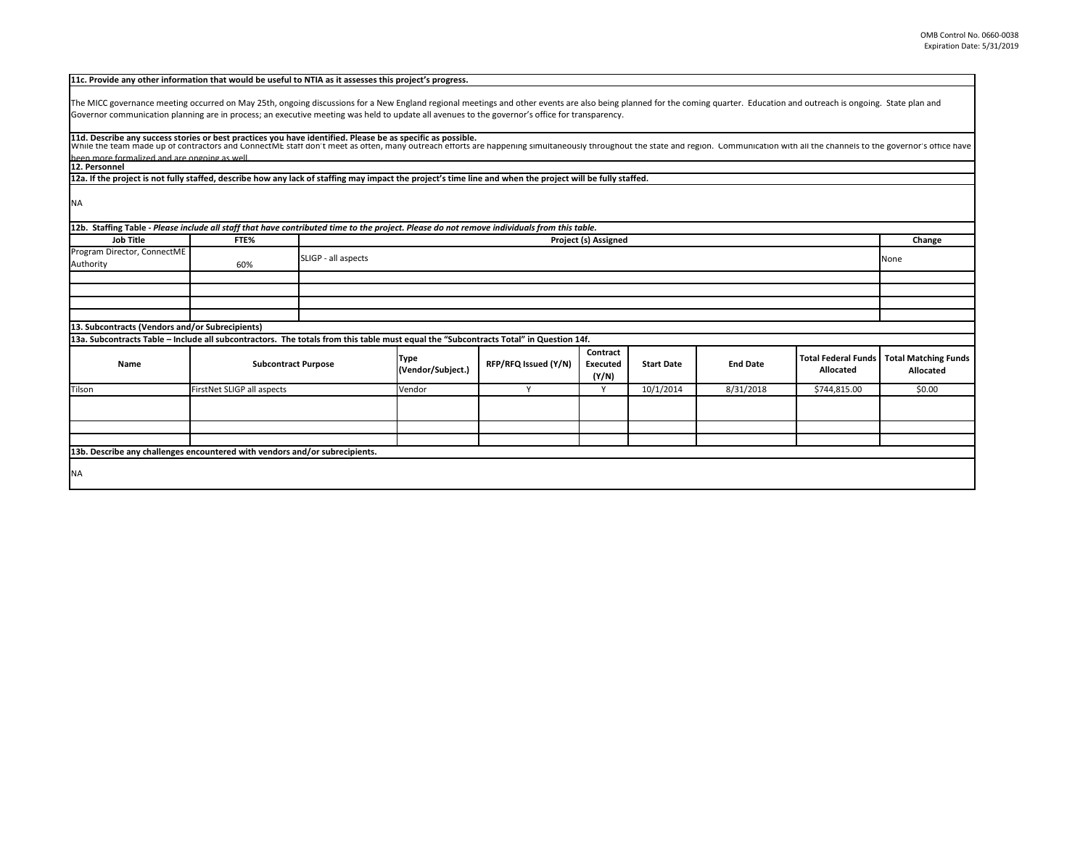| The MICC governance meeting occurred on May 25th, ongoing discussions for a New England regional meetings and other events are also being planned for the coming quarter. Education and outreach is ongoing. State plan and<br>Governor communication planning are in process; an executive meeting was held to update all avenues to the governor's office for transparency.<br>11d. Describe any success stories or best practices you have identified. Please be as specific as possible.<br>been more formalized and are ongoing as well<br>12. Personnel<br>12a. If the project is not fully staffed, describe how any lack of staffing may impact the project's time line and when the project will be fully staffed.<br>12b. Staffing Table - Please include all staff that have contributed time to the project. Please do not remove individuals from this table.<br><b>Job Title</b><br>FTE%<br>Project (s) Assigned<br>Change<br>SLIGP - all aspects<br>None<br>60%<br>13. Subcontracts (Vendors and/or Subrecipients)<br>13a. Subcontracts Table - Include all subcontractors. The totals from this table must equal the "Subcontracts Total" in Question 14f.<br>Contract<br><b>Total Federal Funds</b><br><b>Type</b><br><b>Subcontract Purpose</b><br>RFP/RFQ Issued (Y/N)<br><b>End Date</b><br><b>Start Date</b><br>Name<br>Executed<br>(Vendor/Subject.)<br>Allocated<br>Allocated<br>(Y/N)<br>FirstNet SLIGP all aspects<br>Vendor<br>Y<br>10/1/2014<br>8/31/2018<br>\$0.00<br>Y<br>\$744,815.00 | 11c. Provide any other information that would be useful to NTIA as it assesses this project's progress. |  |  |  |  |  |  |  |  |  |
|---------------------------------------------------------------------------------------------------------------------------------------------------------------------------------------------------------------------------------------------------------------------------------------------------------------------------------------------------------------------------------------------------------------------------------------------------------------------------------------------------------------------------------------------------------------------------------------------------------------------------------------------------------------------------------------------------------------------------------------------------------------------------------------------------------------------------------------------------------------------------------------------------------------------------------------------------------------------------------------------------------------------------------------------------------------------------------------------------------------------------------------------------------------------------------------------------------------------------------------------------------------------------------------------------------------------------------------------------------------------------------------------------------------------------------------------------------------------------------------------------------------------|---------------------------------------------------------------------------------------------------------|--|--|--|--|--|--|--|--|--|
| While the team made up of contractors and ConnectME staff don't meet as often, many outreach efforts are happening simultaneously throughout the state and region. Communication with all the channels to the governor's offic                                                                                                                                                                                                                                                                                                                                                                                                                                                                                                                                                                                                                                                                                                                                                                                                                                                                                                                                                                                                                                                                                                                                                                                                                                                                                      |                                                                                                         |  |  |  |  |  |  |  |  |  |
|                                                                                                                                                                                                                                                                                                                                                                                                                                                                                                                                                                                                                                                                                                                                                                                                                                                                                                                                                                                                                                                                                                                                                                                                                                                                                                                                                                                                                                                                                                                     |                                                                                                         |  |  |  |  |  |  |  |  |  |
|                                                                                                                                                                                                                                                                                                                                                                                                                                                                                                                                                                                                                                                                                                                                                                                                                                                                                                                                                                                                                                                                                                                                                                                                                                                                                                                                                                                                                                                                                                                     |                                                                                                         |  |  |  |  |  |  |  |  |  |
|                                                                                                                                                                                                                                                                                                                                                                                                                                                                                                                                                                                                                                                                                                                                                                                                                                                                                                                                                                                                                                                                                                                                                                                                                                                                                                                                                                                                                                                                                                                     |                                                                                                         |  |  |  |  |  |  |  |  |  |
|                                                                                                                                                                                                                                                                                                                                                                                                                                                                                                                                                                                                                                                                                                                                                                                                                                                                                                                                                                                                                                                                                                                                                                                                                                                                                                                                                                                                                                                                                                                     |                                                                                                         |  |  |  |  |  |  |  |  |  |
|                                                                                                                                                                                                                                                                                                                                                                                                                                                                                                                                                                                                                                                                                                                                                                                                                                                                                                                                                                                                                                                                                                                                                                                                                                                                                                                                                                                                                                                                                                                     |                                                                                                         |  |  |  |  |  |  |  |  |  |
| <b>Total Matching Funds</b>                                                                                                                                                                                                                                                                                                                                                                                                                                                                                                                                                                                                                                                                                                                                                                                                                                                                                                                                                                                                                                                                                                                                                                                                                                                                                                                                                                                                                                                                                         |                                                                                                         |  |  |  |  |  |  |  |  |  |
|                                                                                                                                                                                                                                                                                                                                                                                                                                                                                                                                                                                                                                                                                                                                                                                                                                                                                                                                                                                                                                                                                                                                                                                                                                                                                                                                                                                                                                                                                                                     | <b>NA</b>                                                                                               |  |  |  |  |  |  |  |  |  |
|                                                                                                                                                                                                                                                                                                                                                                                                                                                                                                                                                                                                                                                                                                                                                                                                                                                                                                                                                                                                                                                                                                                                                                                                                                                                                                                                                                                                                                                                                                                     |                                                                                                         |  |  |  |  |  |  |  |  |  |
|                                                                                                                                                                                                                                                                                                                                                                                                                                                                                                                                                                                                                                                                                                                                                                                                                                                                                                                                                                                                                                                                                                                                                                                                                                                                                                                                                                                                                                                                                                                     |                                                                                                         |  |  |  |  |  |  |  |  |  |
|                                                                                                                                                                                                                                                                                                                                                                                                                                                                                                                                                                                                                                                                                                                                                                                                                                                                                                                                                                                                                                                                                                                                                                                                                                                                                                                                                                                                                                                                                                                     |                                                                                                         |  |  |  |  |  |  |  |  |  |
|                                                                                                                                                                                                                                                                                                                                                                                                                                                                                                                                                                                                                                                                                                                                                                                                                                                                                                                                                                                                                                                                                                                                                                                                                                                                                                                                                                                                                                                                                                                     | Program Director, ConnectME                                                                             |  |  |  |  |  |  |  |  |  |
|                                                                                                                                                                                                                                                                                                                                                                                                                                                                                                                                                                                                                                                                                                                                                                                                                                                                                                                                                                                                                                                                                                                                                                                                                                                                                                                                                                                                                                                                                                                     | Authority                                                                                               |  |  |  |  |  |  |  |  |  |
|                                                                                                                                                                                                                                                                                                                                                                                                                                                                                                                                                                                                                                                                                                                                                                                                                                                                                                                                                                                                                                                                                                                                                                                                                                                                                                                                                                                                                                                                                                                     |                                                                                                         |  |  |  |  |  |  |  |  |  |
|                                                                                                                                                                                                                                                                                                                                                                                                                                                                                                                                                                                                                                                                                                                                                                                                                                                                                                                                                                                                                                                                                                                                                                                                                                                                                                                                                                                                                                                                                                                     |                                                                                                         |  |  |  |  |  |  |  |  |  |
|                                                                                                                                                                                                                                                                                                                                                                                                                                                                                                                                                                                                                                                                                                                                                                                                                                                                                                                                                                                                                                                                                                                                                                                                                                                                                                                                                                                                                                                                                                                     |                                                                                                         |  |  |  |  |  |  |  |  |  |
|                                                                                                                                                                                                                                                                                                                                                                                                                                                                                                                                                                                                                                                                                                                                                                                                                                                                                                                                                                                                                                                                                                                                                                                                                                                                                                                                                                                                                                                                                                                     |                                                                                                         |  |  |  |  |  |  |  |  |  |
|                                                                                                                                                                                                                                                                                                                                                                                                                                                                                                                                                                                                                                                                                                                                                                                                                                                                                                                                                                                                                                                                                                                                                                                                                                                                                                                                                                                                                                                                                                                     |                                                                                                         |  |  |  |  |  |  |  |  |  |
|                                                                                                                                                                                                                                                                                                                                                                                                                                                                                                                                                                                                                                                                                                                                                                                                                                                                                                                                                                                                                                                                                                                                                                                                                                                                                                                                                                                                                                                                                                                     |                                                                                                         |  |  |  |  |  |  |  |  |  |
|                                                                                                                                                                                                                                                                                                                                                                                                                                                                                                                                                                                                                                                                                                                                                                                                                                                                                                                                                                                                                                                                                                                                                                                                                                                                                                                                                                                                                                                                                                                     |                                                                                                         |  |  |  |  |  |  |  |  |  |
|                                                                                                                                                                                                                                                                                                                                                                                                                                                                                                                                                                                                                                                                                                                                                                                                                                                                                                                                                                                                                                                                                                                                                                                                                                                                                                                                                                                                                                                                                                                     | Tilson                                                                                                  |  |  |  |  |  |  |  |  |  |
|                                                                                                                                                                                                                                                                                                                                                                                                                                                                                                                                                                                                                                                                                                                                                                                                                                                                                                                                                                                                                                                                                                                                                                                                                                                                                                                                                                                                                                                                                                                     |                                                                                                         |  |  |  |  |  |  |  |  |  |
|                                                                                                                                                                                                                                                                                                                                                                                                                                                                                                                                                                                                                                                                                                                                                                                                                                                                                                                                                                                                                                                                                                                                                                                                                                                                                                                                                                                                                                                                                                                     |                                                                                                         |  |  |  |  |  |  |  |  |  |
|                                                                                                                                                                                                                                                                                                                                                                                                                                                                                                                                                                                                                                                                                                                                                                                                                                                                                                                                                                                                                                                                                                                                                                                                                                                                                                                                                                                                                                                                                                                     |                                                                                                         |  |  |  |  |  |  |  |  |  |
|                                                                                                                                                                                                                                                                                                                                                                                                                                                                                                                                                                                                                                                                                                                                                                                                                                                                                                                                                                                                                                                                                                                                                                                                                                                                                                                                                                                                                                                                                                                     |                                                                                                         |  |  |  |  |  |  |  |  |  |
| 13b. Describe any challenges encountered with vendors and/or subrecipients.                                                                                                                                                                                                                                                                                                                                                                                                                                                                                                                                                                                                                                                                                                                                                                                                                                                                                                                                                                                                                                                                                                                                                                                                                                                                                                                                                                                                                                         |                                                                                                         |  |  |  |  |  |  |  |  |  |
|                                                                                                                                                                                                                                                                                                                                                                                                                                                                                                                                                                                                                                                                                                                                                                                                                                                                                                                                                                                                                                                                                                                                                                                                                                                                                                                                                                                                                                                                                                                     | <b>NA</b>                                                                                               |  |  |  |  |  |  |  |  |  |